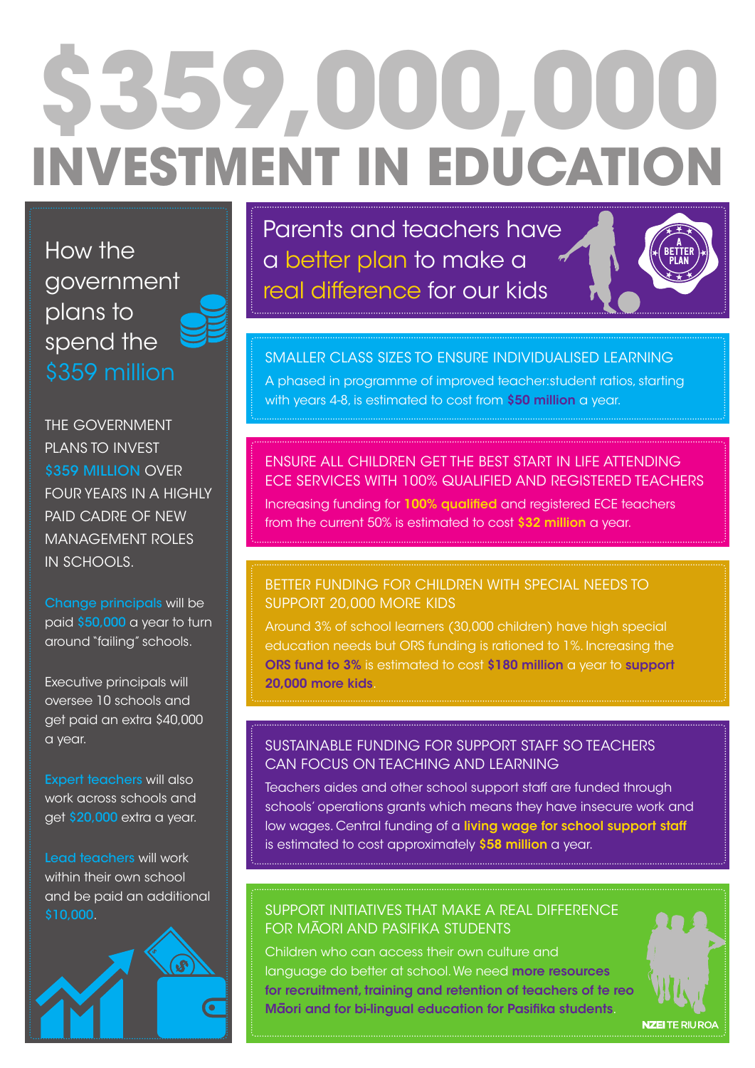# **\$359,000,000 INVESTMENT IN EDUCATION**

How the government plans to spend the \$359 million

THE GOVERNMENT PLANS TO INVEST \$359 MILLION OVER FOUR YEARS IN A HIGHLY PAID CADRE OF NEW MANAGEMENT ROLES IN SCHOOLS.

Change principals will be paid \$50,000 a year to turn around "failing" schools.

Executive principals will oversee 10 schools and get paid an extra \$40,000 a year.

Expert teachers will also work across schools and get \$20,000 extra a year.

Lead teachers will work within their own school and be paid an additional \$10,000.



Parents and teachers have a better plan to make a real difference for our kids



SMALLER CLASS SIZES TO ENSURE INDIVIDUALISED LEARNING

A phased in programme of improved teacher:student ratios, starting with years 4-8, is estimated to cost from \$50 million a year.

# ENSURE ALL CHILDREN GET THE BEST START IN LIFE ATTENDING ECE SERVICES WITH 100% QUALIFIED AND REGISTERED TEACHERS

Increasing funding for 100% qualified and registered ECE teachers from the current 50% is estimated to cost \$32 million a year.

# BETTER FUNDING FOR CHILDREN WITH SPECIAL NEEDS TO SUPPORT 20,000 MORE KIDS

Around 3% of school learners (30,000 children) have high special education needs but ORS funding is rationed to 1%. Increasing the ORS fund to 3% is estimated to cost \$180 million a year to support 20,000 more kids.

# SUSTAINABLE FUNDING FOR SUPPORT STAFF SO TEACHERS CAN FOCUS ON TEACHING AND LEARNING

Teachers aides and other school support staff are funded through schools' operations grants which means they have insecure work and low wages. Central funding of a living wage for school support staff is estimated to cost approximately \$58 million a year.

# SUPPORT INITIATIVES THAT MAKE A REAL DIFFERENCE **FOR MĀORI AND PASIFIKA STUDENTS**

Children who can access their own culture and language do better at school. We need more resources for recruitment, training and retention of teachers of te reo Maori and for bi-lingual education for Pasifika students.